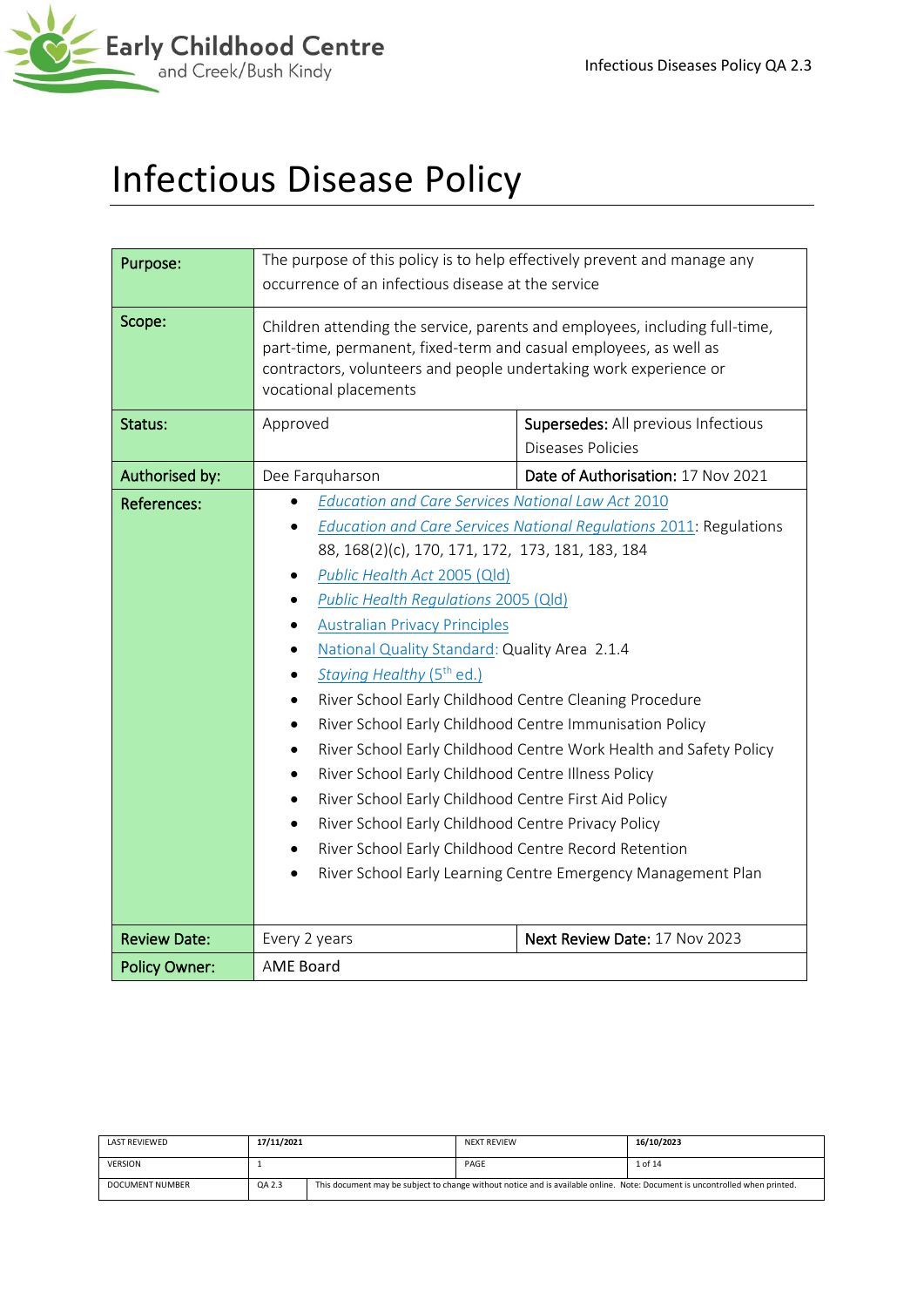

# Infectious Disease Policy

| Purpose:             | The purpose of this policy is to help effectively prevent and manage any<br>occurrence of an infectious disease at the service                                                                                                                                                                                                                                                                                                                                                                                                                                                                                                                                                                                                                                                  |                                                                                                                                                                                                                |  |
|----------------------|---------------------------------------------------------------------------------------------------------------------------------------------------------------------------------------------------------------------------------------------------------------------------------------------------------------------------------------------------------------------------------------------------------------------------------------------------------------------------------------------------------------------------------------------------------------------------------------------------------------------------------------------------------------------------------------------------------------------------------------------------------------------------------|----------------------------------------------------------------------------------------------------------------------------------------------------------------------------------------------------------------|--|
| Scope:               | part-time, permanent, fixed-term and casual employees, as well as<br>contractors, volunteers and people undertaking work experience or<br>vocational placements                                                                                                                                                                                                                                                                                                                                                                                                                                                                                                                                                                                                                 | Children attending the service, parents and employees, including full-time,                                                                                                                                    |  |
| Status:              | Approved                                                                                                                                                                                                                                                                                                                                                                                                                                                                                                                                                                                                                                                                                                                                                                        | Supersedes: All previous Infectious<br><b>Diseases Policies</b>                                                                                                                                                |  |
| Authorised by:       | Dee Farquharson                                                                                                                                                                                                                                                                                                                                                                                                                                                                                                                                                                                                                                                                                                                                                                 | Date of Authorisation: 17 Nov 2021                                                                                                                                                                             |  |
| <b>References:</b>   | <b>Education and Care Services National Law Act 2010</b><br>88, 168(2)(c), 170, 171, 172, 173, 181, 183, 184<br>Public Health Act 2005 (Qld)<br>$\bullet$<br>Public Health Regulations 2005 (Qld)<br><b>Australian Privacy Principles</b><br>National Quality Standard: Quality Area 2.1.4<br>Staying Healthy (5 <sup>th</sup> ed.)<br>$\bullet$<br>River School Early Childhood Centre Cleaning Procedure<br>$\bullet$<br>River School Early Childhood Centre Immunisation Policy<br>$\bullet$<br>$\bullet$<br>River School Early Childhood Centre Illness Policy<br>$\bullet$<br>River School Early Childhood Centre First Aid Policy<br>$\bullet$<br>River School Early Childhood Centre Privacy Policy<br>$\bullet$<br>River School Early Childhood Centre Record Retention | <b>Education and Care Services National Regulations 2011: Regulations</b><br>River School Early Childhood Centre Work Health and Safety Policy<br>River School Early Learning Centre Emergency Management Plan |  |
| <b>Review Date:</b>  | Every 2 years                                                                                                                                                                                                                                                                                                                                                                                                                                                                                                                                                                                                                                                                                                                                                                   | Next Review Date: 17 Nov 2023                                                                                                                                                                                  |  |
| <b>Policy Owner:</b> | <b>AME Board</b>                                                                                                                                                                                                                                                                                                                                                                                                                                                                                                                                                                                                                                                                                                                                                                |                                                                                                                                                                                                                |  |

| LAST REVIEWED          | 17/11/2021 |                                                                                                                             | <b>NEXT REVIEW</b> | 16/10/2023 |
|------------------------|------------|-----------------------------------------------------------------------------------------------------------------------------|--------------------|------------|
| <b>VERSION</b>         |            |                                                                                                                             | PAGE               | 1 of 14    |
| <b>DOCUMENT NUMBER</b> | QA 2.3     | This document may be subject to change without notice and is available online. Note: Document is uncontrolled when printed. |                    |            |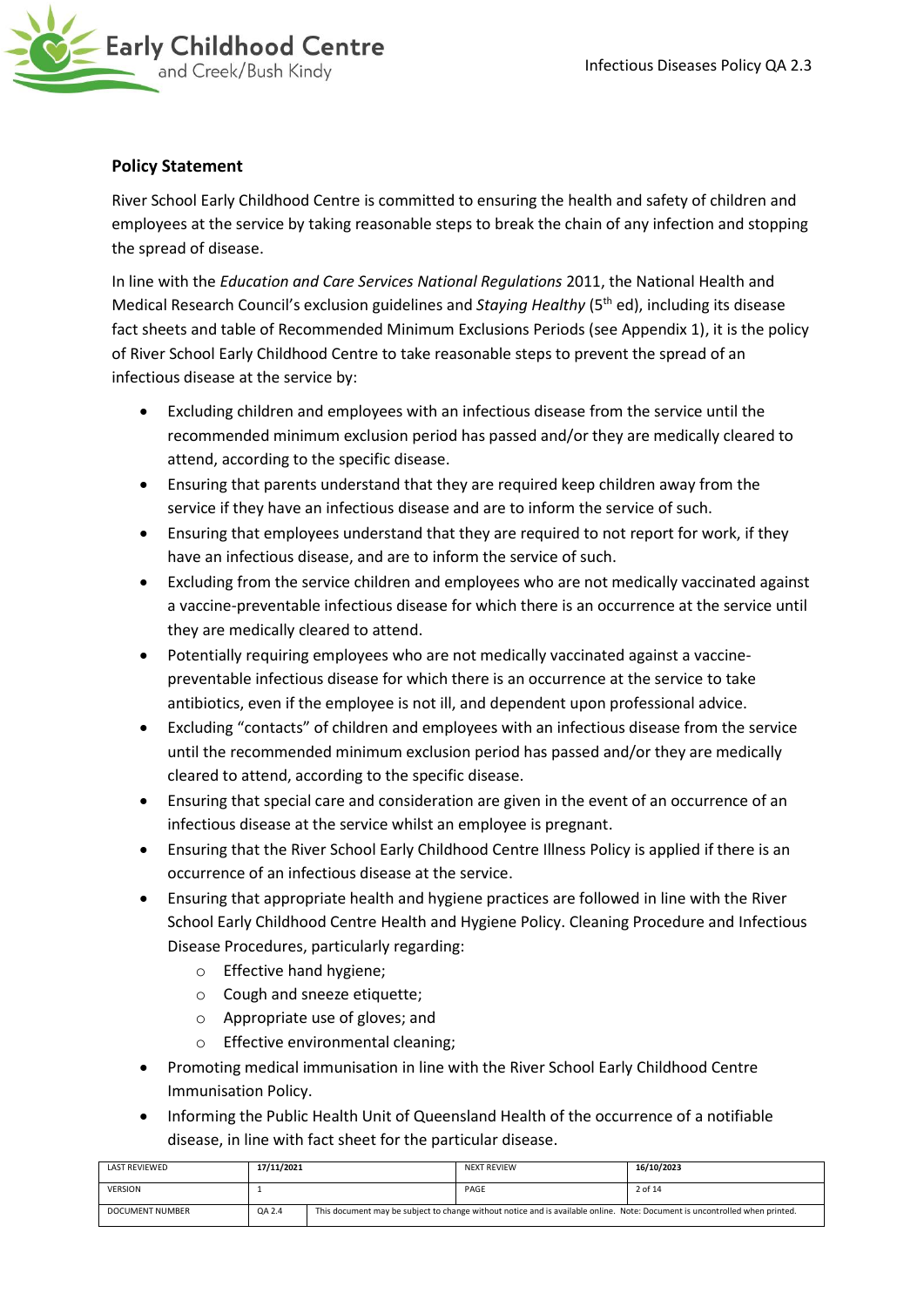

# **Policy Statement**

River School Early Childhood Centre is committed to ensuring the health and safety of children and employees at the service by taking reasonable steps to break the chain of any infection and stopping the spread of disease.

In line with the *Education and Care Services National Regulations* 2011, the National Health and Medical Research Council's exclusion guidelines and *Staying Healthy* (5th ed), including its disease fact sheets and table of Recommended Minimum Exclusions Periods (see Appendix 1), it is the policy of River School Early Childhood Centre to take reasonable steps to prevent the spread of an infectious disease at the service by:

- Excluding children and employees with an infectious disease from the service until the recommended minimum exclusion period has passed and/or they are medically cleared to attend, according to the specific disease.
- Ensuring that parents understand that they are required keep children away from the service if they have an infectious disease and are to inform the service of such.
- Ensuring that employees understand that they are required to not report for work, if they have an infectious disease, and are to inform the service of such.
- Excluding from the service children and employees who are not medically vaccinated against a vaccine-preventable infectious disease for which there is an occurrence at the service until they are medically cleared to attend.
- Potentially requiring employees who are not medically vaccinated against a vaccinepreventable infectious disease for which there is an occurrence at the service to take antibiotics, even if the employee is not ill, and dependent upon professional advice.
- Excluding "contacts" of children and employees with an infectious disease from the service until the recommended minimum exclusion period has passed and/or they are medically cleared to attend, according to the specific disease.
- Ensuring that special care and consideration are given in the event of an occurrence of an infectious disease at the service whilst an employee is pregnant.
- Ensuring that the River School Early Childhood Centre Illness Policy is applied if there is an occurrence of an infectious disease at the service.
- Ensuring that appropriate health and hygiene practices are followed in line with the River School Early Childhood Centre Health and Hygiene Policy. Cleaning Procedure and Infectious Disease Procedures, particularly regarding:
	- o Effective hand hygiene;
	- o Cough and sneeze etiquette;
	- o Appropriate use of gloves; and
	- o Effective environmental cleaning;
- Promoting medical immunisation in line with the River School Early Childhood Centre Immunisation Policy.
- Informing the Public Health Unit of Queensland Health of the occurrence of a notifiable disease, in line with fact sheet for the particular disease.

| <b>LAST REVIEWED</b> | 17/11/2021 |                                                                                                                             | <b>NEXT REVIEW</b> | 16/10/2023 |
|----------------------|------------|-----------------------------------------------------------------------------------------------------------------------------|--------------------|------------|
| <b>VERSION</b>       |            |                                                                                                                             | PAGE               | 2 of 14    |
| DOCUMENT NUMBER      | QA 2.4     | This document may be subject to change without notice and is available online. Note: Document is uncontrolled when printed. |                    |            |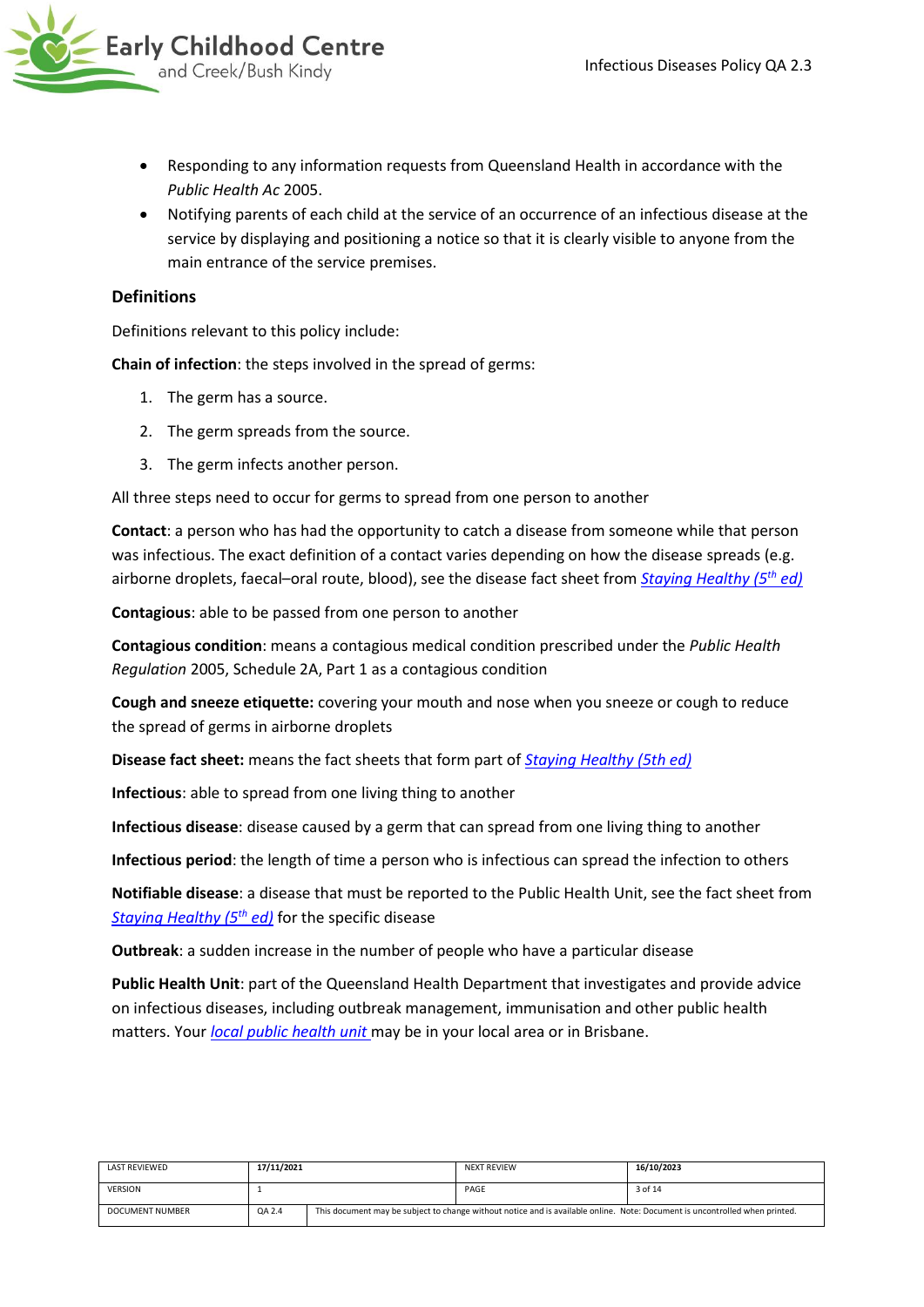

- Responding to any information requests from Queensland Health in accordance with the *Public Health Ac* 2005.
- Notifying parents of each child at the service of an occurrence of an infectious disease at the service by displaying and positioning a notice so that it is clearly visible to anyone from the main entrance of the service premises.

# **Definitions**

Definitions relevant to this policy include:

**Chain of infection**: the steps involved in the spread of germs:

- 1. The germ has a source.
- 2. The germ spreads from the source.
- 3. The germ infects another person.

All three steps need to occur for germs to spread from one person to another

**Contact**: a person who has had the opportunity to catch a disease from someone while that person was infectious. The exact definition of a contact varies depending on how the disease spreads (e.g. airborne droplets, faecal–oral route, blood), see the disease fact sheet from *[Staying Healthy \(5](https://www.nhmrc.gov.au/_files_nhmrc/publications/attachments/ch55_staying_healthy_5th_edition_updated_140616.pdf)th ed)*

**Contagious**: able to be passed from one person to another

**Contagious condition**: means a contagious medical condition prescribed under the *Public Health Regulation* 2005, Schedule 2A, Part 1 as a contagious condition

**Cough and sneeze etiquette:** covering your mouth and nose when you sneeze or cough to reduce the spread of germs in airborne droplets

**Disease fact sheet:** means the fact sheets that form part of *[Staying Healthy \(5th ed\)](https://www.nhmrc.gov.au/_files_nhmrc/publications/attachments/ch55_staying_healthy_5th_edition_updated_140616.pdf)*

**Infectious**: able to spread from one living thing to another

**Infectious disease**: disease caused by a germ that can spread from one living thing to another

**Infectious period**: the length of time a person who is infectious can spread the infection to others

**Notifiable disease**: a disease that must be reported to the Public Health Unit, see the fact sheet from *[Staying Healthy \(5](https://www.nhmrc.gov.au/_files_nhmrc/publications/attachments/ch55_staying_healthy_5th_edition_updated_140616.pdf)th ed)* for the specific disease

**Outbreak**: a sudden increase in the number of people who have a particular disease

**Public Health Unit**: part of the Queensland Health Department that investigates and provide advice on infectious diseases, including outbreak management, immunisation and other public health matters. Your *[local public health unit](http://www.health.qld.gov.au/system-governance/contact-us/contact/public-health-units/default.asp)* may be in your local area or in Brisbane.

| LAST REVIEWED   | 17/11/2021 | <b>NEXT REVIEW</b>                                                                                                          | 16/10/2023 |
|-----------------|------------|-----------------------------------------------------------------------------------------------------------------------------|------------|
| <b>VERSION</b>  |            | PAGE                                                                                                                        | 3 of 14    |
| DOCUMENT NUMBER | QA 2.4     | This document may be subject to change without notice and is available online. Note: Document is uncontrolled when printed. |            |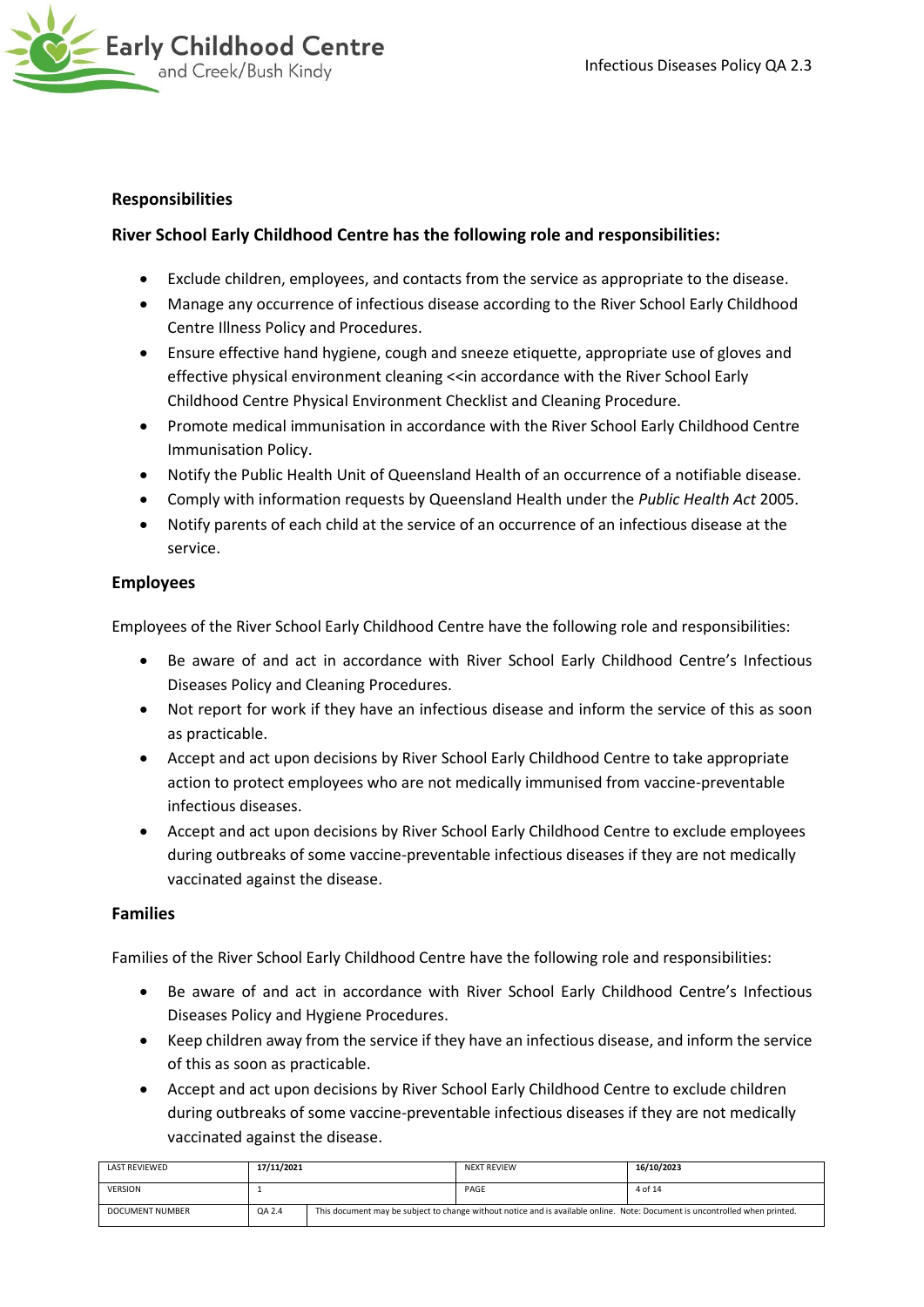

# **Responsibilities**

# **River School Early Childhood Centre has the following role and responsibilities:**

- Exclude children, employees, and contacts from the service as appropriate to the disease.
- Manage any occurrence of infectious disease according to the River School Early Childhood Centre Illness Policy and Procedures.
- Ensure effective hand hygiene, cough and sneeze etiquette, appropriate use of gloves and effective physical environment cleaning <<in accordance with the River School Early Childhood Centre Physical Environment Checklist and Cleaning Procedure.
- Promote medical immunisation in accordance with the River School Early Childhood Centre Immunisation Policy.
- Notify the Public Health Unit of Queensland Health of an occurrence of a notifiable disease.
- Comply with information requests by Queensland Health under the *Public Health Act* 2005.
- Notify parents of each child at the service of an occurrence of an infectious disease at the service.

## **Employees**

Employees of the River School Early Childhood Centre have the following role and responsibilities:

- Be aware of and act in accordance with River School Early Childhood Centre's Infectious Diseases Policy and Cleaning Procedures.
- Not report for work if they have an infectious disease and inform the service of this as soon as practicable.
- Accept and act upon decisions by River School Early Childhood Centre to take appropriate action to protect employees who are not medically immunised from vaccine-preventable infectious diseases.
- Accept and act upon decisions by River School Early Childhood Centre to exclude employees during outbreaks of some vaccine-preventable infectious diseases if they are not medically vaccinated against the disease.

## **Families**

Families of the River School Early Childhood Centre have the following role and responsibilities:

- Be aware of and act in accordance with River School Early Childhood Centre's Infectious Diseases Policy and Hygiene Procedures.
- Keep children away from the service if they have an infectious disease, and inform the service of this as soon as practicable.
- Accept and act upon decisions by River School Early Childhood Centre to exclude children during outbreaks of some vaccine-preventable infectious diseases if they are not medically vaccinated against the disease.

| LAST REVIEWED          | 17/11/2021 |  | <b>NEXT REVIEW</b>                                                                                                          | 16/10/2023 |
|------------------------|------------|--|-----------------------------------------------------------------------------------------------------------------------------|------------|
| <b>VERSION</b>         |            |  | PAGE                                                                                                                        | 4 of 14    |
| <b>DOCUMENT NUMBER</b> | QA 2.4     |  | This document may be subject to change without notice and is available online. Note: Document is uncontrolled when printed. |            |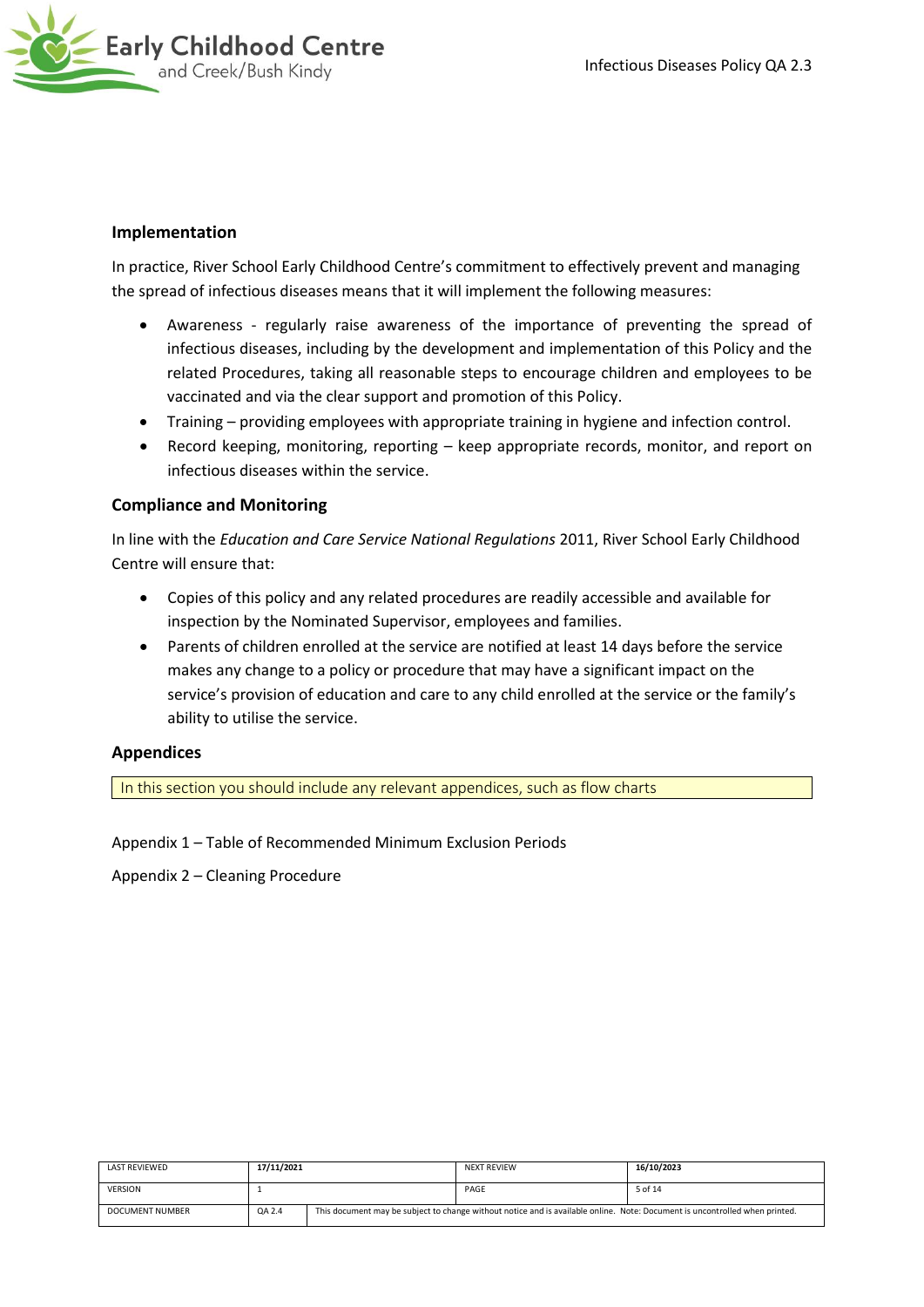

# **Implementation**

In practice, River School Early Childhood Centre's commitment to effectively prevent and managing the spread of infectious diseases means that it will implement the following measures:

- Awareness regularly raise awareness of the importance of preventing the spread of infectious diseases, including by the development and implementation of this Policy and the related Procedures, taking all reasonable steps to encourage children and employees to be vaccinated and via the clear support and promotion of this Policy.
- Training providing employees with appropriate training in hygiene and infection control.
- Record keeping, monitoring, reporting keep appropriate records, monitor, and report on infectious diseases within the service.

# **Compliance and Monitoring**

In line with the *Education and Care Service National Regulations* 2011, River School Early Childhood Centre will ensure that:

- Copies of this policy and any related procedures are readily accessible and available for inspection by the Nominated Supervisor, employees and families.
- Parents of children enrolled at the service are notified at least 14 days before the service makes any change to a policy or procedure that may have a significant impact on the service's provision of education and care to any child enrolled at the service or the family's ability to utilise the service.

## **Appendices**

In this section you should include any relevant appendices, such as flow charts

Appendix 1 – Table of Recommended Minimum Exclusion Periods

Appendix 2 – Cleaning Procedure

| LAST REVIEWED   | 17/11/2021 |  | <b>NEXT REVIEW</b>                                                                                                          | 16/10/2023 |
|-----------------|------------|--|-----------------------------------------------------------------------------------------------------------------------------|------------|
| <b>VERSION</b>  |            |  | PAGE                                                                                                                        | 5 of 14    |
| DOCUMENT NUMBER | QA 2.4     |  | This document may be subject to change without notice and is available online. Note: Document is uncontrolled when printed. |            |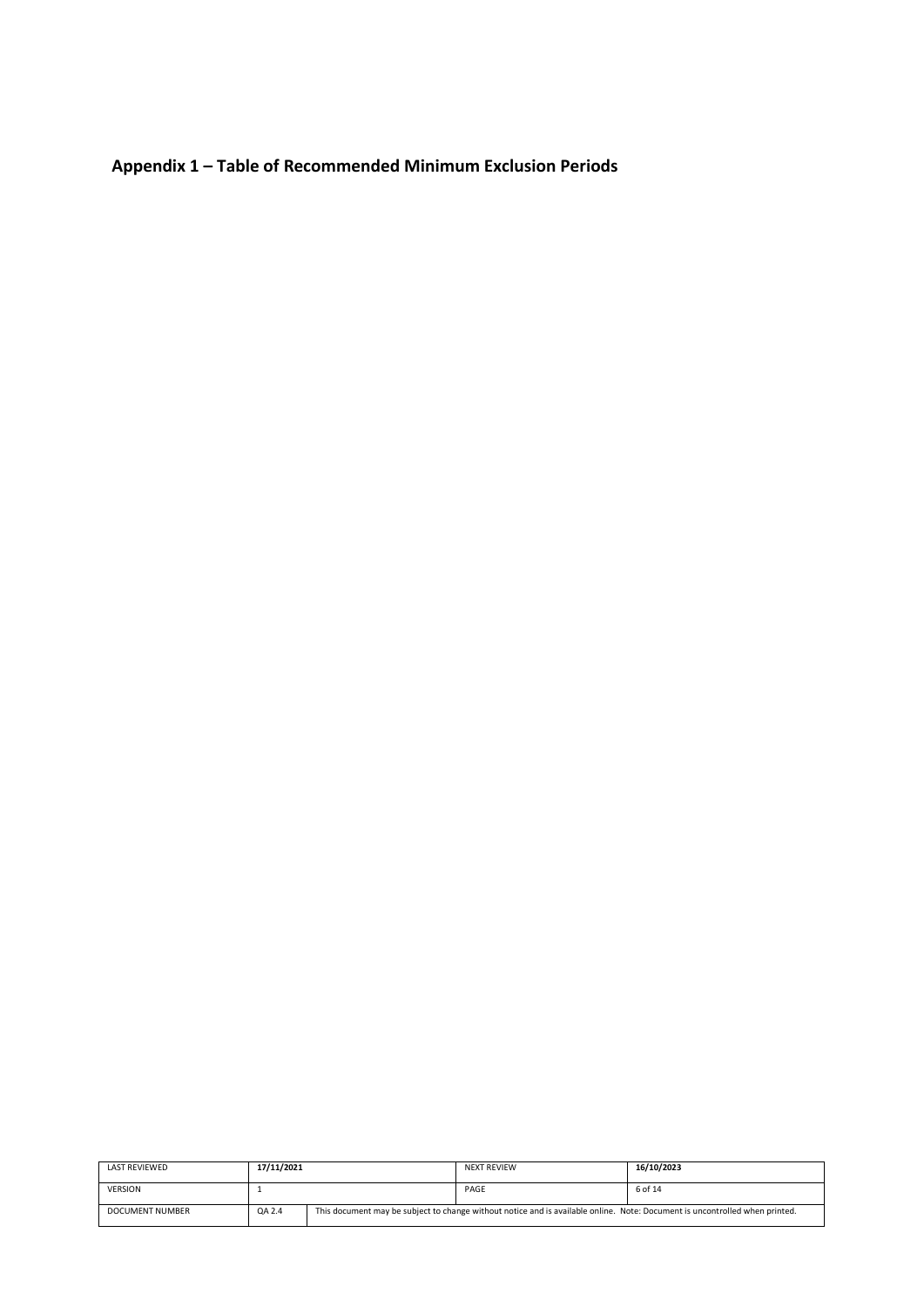**Appendix 1 – Table of Recommended Minimum Exclusion Periods** 

| <b>LAST REVIEWED</b> | 17/11/2021 | <b>NEXT REVIEW</b>                                                                                                          | 16/10/2023 |
|----------------------|------------|-----------------------------------------------------------------------------------------------------------------------------|------------|
| <b>VERSION</b>       |            | PAGE                                                                                                                        | 6 of 14    |
| DOCUMENT NUMBER      | QA 2.4     | This document may be subject to change without notice and is available online. Note: Document is uncontrolled when printed. |            |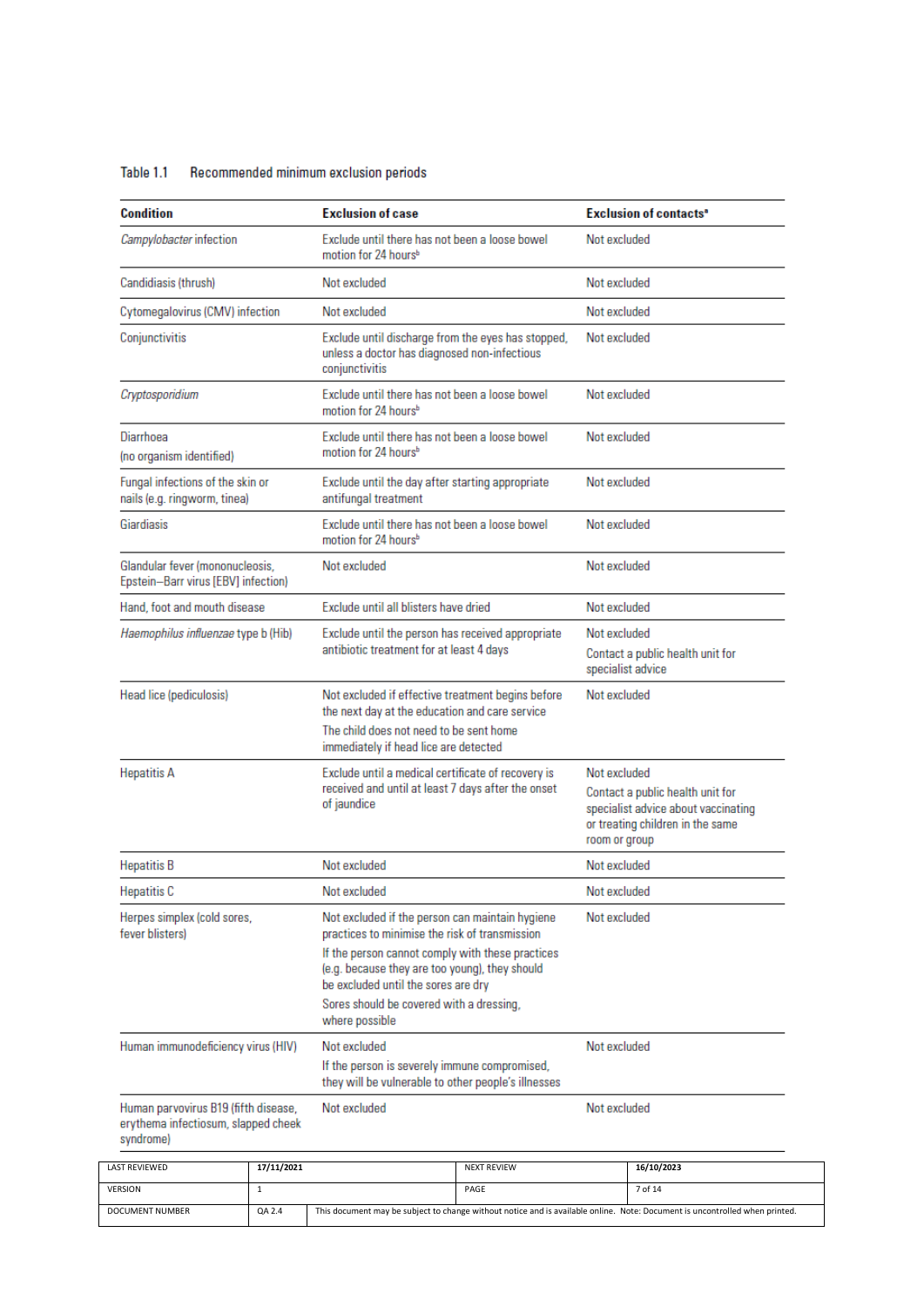| Table 1.1 | Recommended minimum exclusion periods |  |  |
|-----------|---------------------------------------|--|--|
|           |                                       |  |  |

| Condition                                                                                |                                       | <b>Exclusion of case</b>                                                                                                                                                                                                                                                                                     |                                                                                                                      |                                   | <b>Exclusion of contacts<sup>®</sup></b>                                                                    |
|------------------------------------------------------------------------------------------|---------------------------------------|--------------------------------------------------------------------------------------------------------------------------------------------------------------------------------------------------------------------------------------------------------------------------------------------------------------|----------------------------------------------------------------------------------------------------------------------|-----------------------------------|-------------------------------------------------------------------------------------------------------------|
| Campylobacter infection                                                                  |                                       | Exclude until there has not been a loose bowel<br>motion for 24 hours <sup>b</sup>                                                                                                                                                                                                                           |                                                                                                                      | Not excluded                      |                                                                                                             |
| Candidiasis (thrush)                                                                     |                                       | Not excluded                                                                                                                                                                                                                                                                                                 |                                                                                                                      | Not excluded                      |                                                                                                             |
| Cytomegalovirus (CMV) infection                                                          |                                       | Not excluded                                                                                                                                                                                                                                                                                                 |                                                                                                                      | Not excluded                      |                                                                                                             |
| Conjunctivitis                                                                           |                                       | Exclude until discharge from the eyes has stopped,<br>unless a doctor has diagnosed non-infectious<br>conjunctivitis                                                                                                                                                                                         |                                                                                                                      | Not excluded                      |                                                                                                             |
| Cryptosporidium                                                                          |                                       | Exclude until there has not been a loose bowel<br>motion for 24 hours <sup>b</sup>                                                                                                                                                                                                                           |                                                                                                                      | Not excluded                      |                                                                                                             |
| Diarrhoea<br>(no organism identified)                                                    |                                       | Exclude until there has not been a loose bowel<br>motion for 24 hours <sup>b</sup>                                                                                                                                                                                                                           |                                                                                                                      | Not excluded                      |                                                                                                             |
| Fungal infections of the skin or<br>nails (e.g. ringworm, tinea)                         |                                       | Exclude until the day after starting appropriate<br>antifungal treatment                                                                                                                                                                                                                                     |                                                                                                                      | Not excluded                      |                                                                                                             |
| Giardiasis                                                                               |                                       | Exclude until there has not been a loose bowel<br>motion for 24 hours <sup>b</sup>                                                                                                                                                                                                                           |                                                                                                                      | Not excluded                      |                                                                                                             |
| Glandular fever (mononucleosis,<br>Epstein-Barr virus [EBV] infection)                   |                                       | Not excluded                                                                                                                                                                                                                                                                                                 |                                                                                                                      | Not excluded                      |                                                                                                             |
| Hand, foot and mouth disease                                                             | Exclude until all blisters have dried |                                                                                                                                                                                                                                                                                                              | Not excluded                                                                                                         |                                   |                                                                                                             |
| Haemophilus influenzae type b (Hib)                                                      |                                       | Exclude until the person has received appropriate<br>antibiotic treatment for at least 4 days                                                                                                                                                                                                                |                                                                                                                      | Not excluded<br>specialist advice | Contact a public health unit for                                                                            |
| Head lice (pediculosis)                                                                  |                                       | Not excluded if effective treatment begins before<br>the next day at the education and care service                                                                                                                                                                                                          |                                                                                                                      | Not excluded                      |                                                                                                             |
|                                                                                          |                                       | The child does not need to be sent home<br>immediately if head lice are detected                                                                                                                                                                                                                             |                                                                                                                      |                                   |                                                                                                             |
| <b>Hepatitis A</b>                                                                       |                                       | Exclude until a medical certificate of recovery is<br>received and until at least 7 days after the onset<br>of jaundice                                                                                                                                                                                      |                                                                                                                      | Not excluded<br>room or group     | Contact a public health unit for<br>specialist advice about vaccinating<br>or treating children in the same |
| <b>Hepatitis B</b>                                                                       |                                       | Not excluded                                                                                                                                                                                                                                                                                                 |                                                                                                                      | Not excluded                      |                                                                                                             |
| <b>Hepatitis C</b>                                                                       |                                       | Not excluded                                                                                                                                                                                                                                                                                                 |                                                                                                                      | Not excluded                      |                                                                                                             |
| Herpes simplex (cold sores,<br>fever blisters)                                           |                                       | Not excluded if the person can maintain hygiene<br>practices to minimise the risk of transmission<br>If the person cannot comply with these practices<br>(e.g. because they are too young), they should<br>be excluded until the sores are dry<br>Sores should be covered with a dressing,<br>where possible |                                                                                                                      | Not excluded                      |                                                                                                             |
|                                                                                          | Human immunodeficiency virus (HIV)    |                                                                                                                                                                                                                                                                                                              | Not excluded<br>If the person is severely immune compromised,<br>they will be vulnerable to other people's illnesses |                                   | Not excluded                                                                                                |
| Human parvovirus B19 (fifth disease,<br>erythema infectiosum, slapped cheek<br>syndrome) |                                       | Not excluded                                                                                                                                                                                                                                                                                                 |                                                                                                                      | Not excluded                      |                                                                                                             |
| LAST REVIEWED                                                                            | 17/11/2021                            |                                                                                                                                                                                                                                                                                                              | <b>NEXT REVIEW</b>                                                                                                   |                                   | 16/10/2023                                                                                                  |

| <b>LAST REVIEWED</b> | 17/11/2021 |                                                                                                                             | <b>NEXT REVIEW</b> | 16/10/2023 |
|----------------------|------------|-----------------------------------------------------------------------------------------------------------------------------|--------------------|------------|
| <b>VERSION</b>       |            |                                                                                                                             | PAGE               | 7 of 14    |
| DOCUMENT NUMBER      | QA 2.4     | This document may be subject to change without notice and is available online. Note: Document is uncontrolled when printed. |                    |            |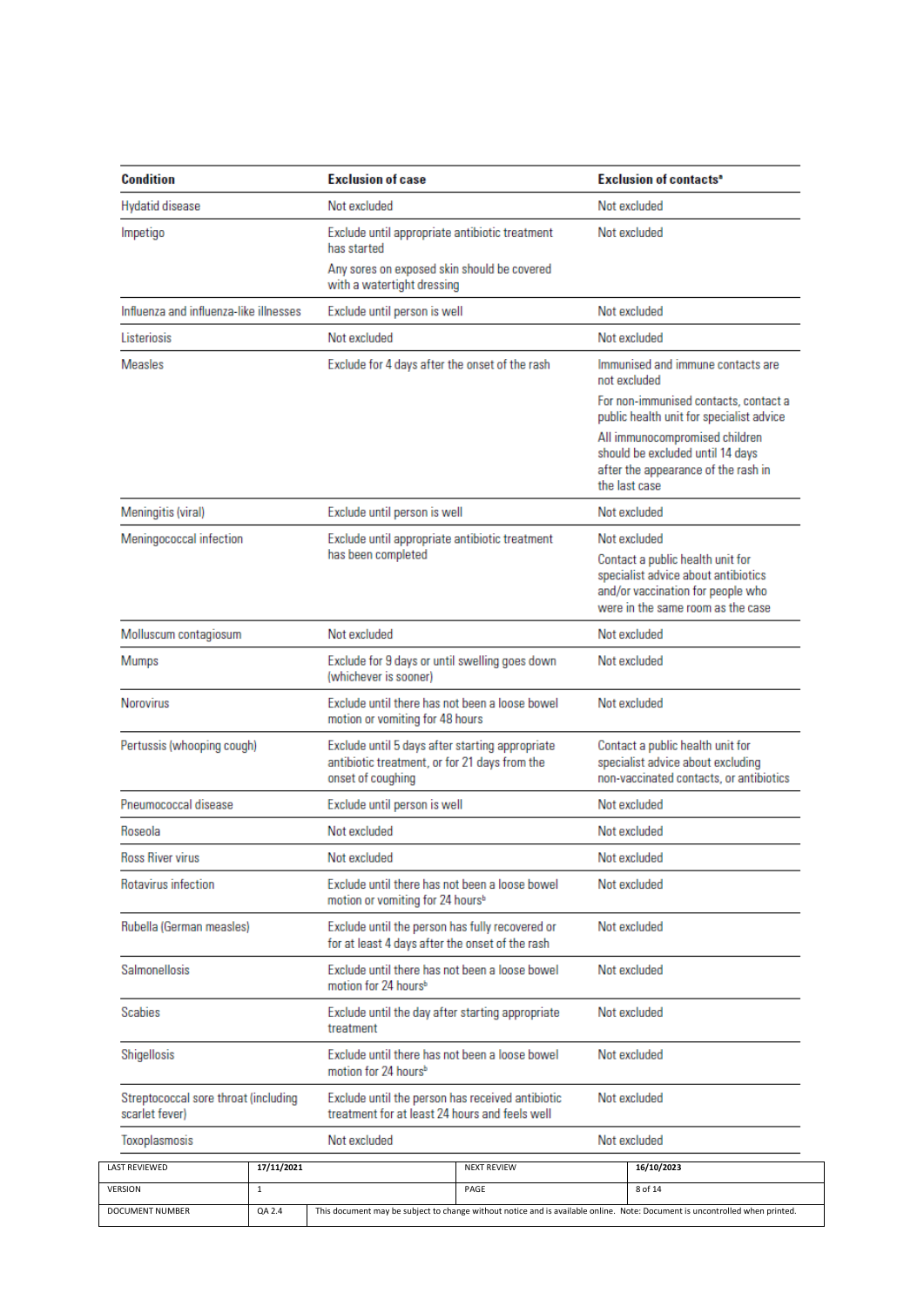| Condition                                              |            | <b>Exclusion of case</b>                                                                                              |                                                                                   |  | <b>Exclusion of contacts<sup>®</sup></b>                                                                                                                                                                        |  |
|--------------------------------------------------------|------------|-----------------------------------------------------------------------------------------------------------------------|-----------------------------------------------------------------------------------|--|-----------------------------------------------------------------------------------------------------------------------------------------------------------------------------------------------------------------|--|
| <b>Hydatid disease</b>                                 |            | Not excluded                                                                                                          |                                                                                   |  | Not excluded                                                                                                                                                                                                    |  |
| Impetigo                                               |            | Exclude until appropriate antibiotic treatment<br>has started                                                         |                                                                                   |  | Not excluded                                                                                                                                                                                                    |  |
|                                                        |            | Any sores on exposed skin should be covered<br>with a watertight dressing                                             |                                                                                   |  |                                                                                                                                                                                                                 |  |
| Influenza and influenza-like illnesses                 |            | Exclude until person is well                                                                                          |                                                                                   |  | Not excluded                                                                                                                                                                                                    |  |
| Listeriosis                                            |            | Not excluded                                                                                                          |                                                                                   |  | Not excluded                                                                                                                                                                                                    |  |
| <b>Measles</b>                                         |            | Exclude for 4 days after the onset of the rash                                                                        |                                                                                   |  | Immunised and immune contacts are<br>not excluded                                                                                                                                                               |  |
|                                                        |            |                                                                                                                       |                                                                                   |  | For non-immunised contacts, contact a<br>public health unit for specialist advice<br>All immunocompromised children<br>should be excluded until 14 days<br>after the appearance of the rash in<br>the last case |  |
| Meningitis (viral)                                     |            | Exclude until person is well                                                                                          |                                                                                   |  | Not excluded                                                                                                                                                                                                    |  |
| Meningococcal infection                                |            | Exclude until appropriate antibiotic treatment                                                                        |                                                                                   |  | Not excluded                                                                                                                                                                                                    |  |
|                                                        |            |                                                                                                                       | has been completed                                                                |  | Contact a public health unit for<br>specialist advice about antibiotics<br>and/or vaccination for people who<br>were in the same room as the case                                                               |  |
| Molluscum contagiosum                                  |            | Not excluded                                                                                                          |                                                                                   |  | Not excluded                                                                                                                                                                                                    |  |
| <b>Mumps</b>                                           |            | Exclude for 9 days or until swelling goes down<br>(whichever is sooner)                                               |                                                                                   |  | Not excluded                                                                                                                                                                                                    |  |
| <b>Norovirus</b>                                       |            |                                                                                                                       | Exclude until there has not been a loose bowel<br>motion or vomiting for 48 hours |  | Not excluded                                                                                                                                                                                                    |  |
| Pertussis (whooping cough)                             |            | Exclude until 5 days after starting appropriate<br>antibiotic treatment, or for 21 days from the<br>onset of coughing |                                                                                   |  | Contact a public health unit for<br>specialist advice about excluding<br>non-vaccinated contacts, or antibiotics                                                                                                |  |
| Pneumococcal disease                                   |            | Exclude until person is well                                                                                          |                                                                                   |  | Not excluded                                                                                                                                                                                                    |  |
| Roseola                                                |            | Not excluded                                                                                                          |                                                                                   |  | Not excluded                                                                                                                                                                                                    |  |
| Ross River virus                                       |            | Not excluded                                                                                                          |                                                                                   |  | Not excluded                                                                                                                                                                                                    |  |
| Rotavirus infection                                    |            | Exclude until there has not been a loose bowel<br>motion or vomiting for 24 hours <sup>b</sup>                        |                                                                                   |  | Not excluded                                                                                                                                                                                                    |  |
| Rubella (German measles)                               |            | Exclude until the person has fully recovered or<br>for at least 4 days after the onset of the rash                    |                                                                                   |  | Not excluded                                                                                                                                                                                                    |  |
| Salmonellosis                                          |            | motion for 24 hours <sup>b</sup>                                                                                      | Exclude until there has not been a loose bowel                                    |  | Not excluded                                                                                                                                                                                                    |  |
| Scabies                                                |            | treatment                                                                                                             | Exclude until the day after starting appropriate                                  |  | Not excluded                                                                                                                                                                                                    |  |
| Shigellosis                                            |            | motion for 24 hours <sup>b</sup>                                                                                      | Exclude until there has not been a loose bowel                                    |  | Not excluded                                                                                                                                                                                                    |  |
| Streptococcal sore throat (including<br>scarlet fever) |            | Exclude until the person has received antibiotic<br>treatment for at least 24 hours and feels well                    |                                                                                   |  | Not excluded                                                                                                                                                                                                    |  |
|                                                        |            |                                                                                                                       |                                                                                   |  |                                                                                                                                                                                                                 |  |
| Toxoplasmosis                                          |            | Not excluded                                                                                                          |                                                                                   |  | Not excluded                                                                                                                                                                                                    |  |
| LAST REVIEWED                                          | 17/11/2021 |                                                                                                                       | <b>NEXT REVIEW</b>                                                                |  | 16/10/2023                                                                                                                                                                                                      |  |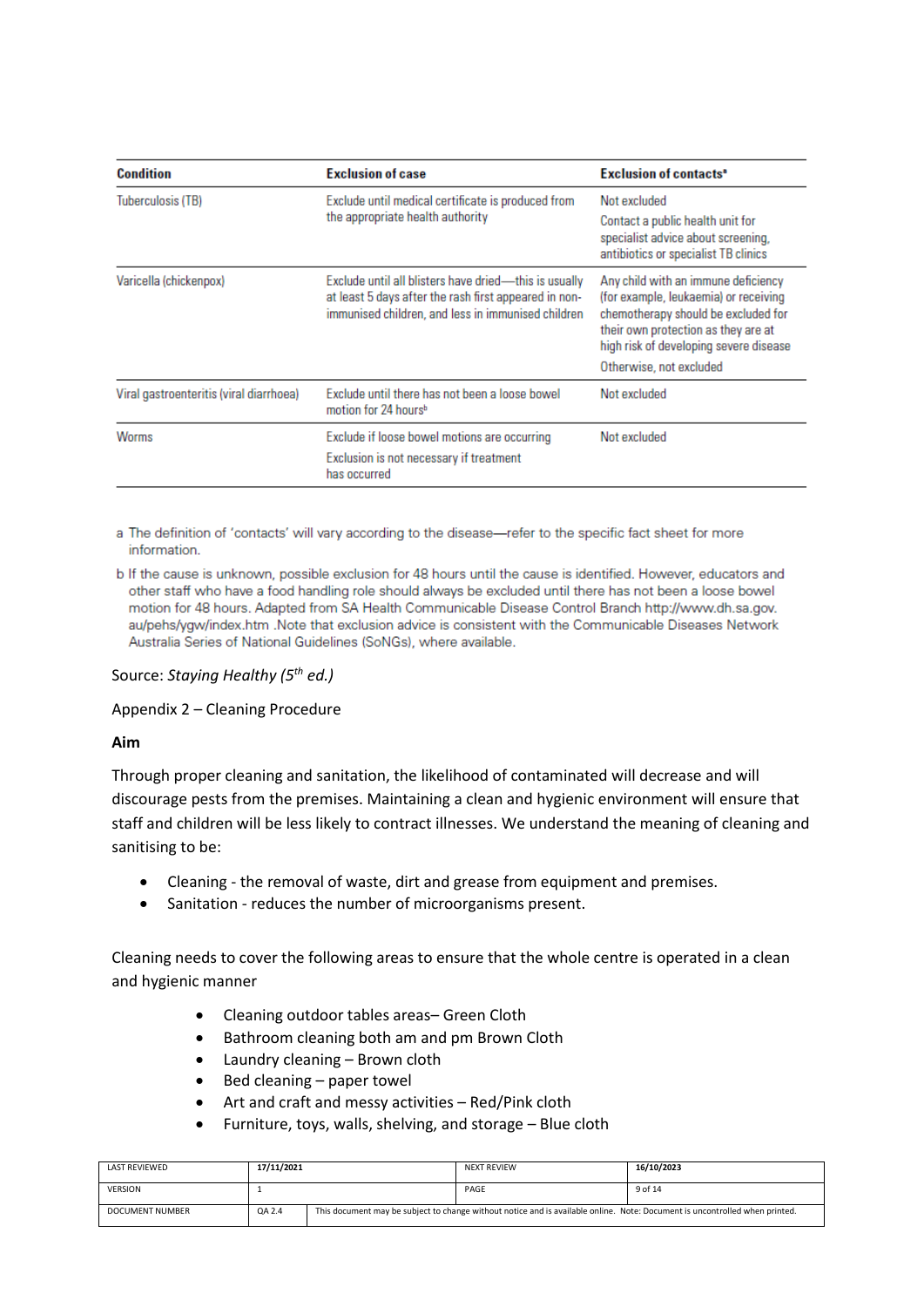| <b>Condition</b>                        | <b>Exclusion of case</b>                                                                                                                                             | <b>Exclusion of contacts<sup>®</sup></b>                                                                                                                                                                                        |
|-----------------------------------------|----------------------------------------------------------------------------------------------------------------------------------------------------------------------|---------------------------------------------------------------------------------------------------------------------------------------------------------------------------------------------------------------------------------|
| Tuberculosis (TB)                       | Exclude until medical certificate is produced from<br>the appropriate health authority                                                                               | Not excluded<br>Contact a public health unit for<br>specialist advice about screening,<br>antibiotics or specialist TB clinics                                                                                                  |
| Varicella (chickenpox)                  | Exclude until all blisters have dried-this is usually<br>at least 5 days after the rash first appeared in non-<br>immunised children, and less in immunised children | Any child with an immune deficiency<br>(for example, leukaemia) or receiving<br>chemotherapy should be excluded for<br>their own protection as they are at<br>high risk of developing severe disease<br>Otherwise, not excluded |
| Viral gastroenteritis (viral diarrhoea) | Exclude until there has not been a loose bowel<br>motion for 24 hours <sup>b</sup>                                                                                   | Not excluded                                                                                                                                                                                                                    |
| Worms                                   | Exclude if loose bowel motions are occurring<br>Exclusion is not necessary if treatment<br>has occurred                                                              | Not excluded                                                                                                                                                                                                                    |

a The definition of 'contacts' will vary according to the disease-refer to the specific fact sheet for more information.

b If the cause is unknown, possible exclusion for 48 hours until the cause is identified. However, educators and other staff who have a food handling role should always be excluded until there has not been a loose bowel motion for 48 hours. Adapted from SA Health Communicable Disease Control Branch http://www.dh.sa.gov. au/pehs/ygw/index.htm .Note that exclusion advice is consistent with the Communicable Diseases Network Australia Series of National Guidelines (SoNGs), where available.

## Source: *Staying Healthy (5th ed.)*

Appendix 2 – Cleaning Procedure

## **Aim**

Through proper cleaning and sanitation, the likelihood of contaminated will decrease and will discourage pests from the premises. Maintaining a clean and hygienic environment will ensure that staff and children will be less likely to contract illnesses. We understand the meaning of cleaning and sanitising to be:

- Cleaning the removal of waste, dirt and grease from equipment and premises.
- Sanitation reduces the number of microorganisms present.

Cleaning needs to cover the following areas to ensure that the whole centre is operated in a clean and hygienic manner

- Cleaning outdoor tables areas– Green Cloth
- Bathroom cleaning both am and pm Brown Cloth
- Laundry cleaning Brown cloth
- Bed cleaning paper towel
- Art and craft and messy activities Red/Pink cloth
- Furniture, toys, walls, shelving, and storage Blue cloth

| LAST REVIEWED   | 17/11/2021 |                                                                                                                             | <b>NEXT REVIEW</b> | 16/10/2023 |
|-----------------|------------|-----------------------------------------------------------------------------------------------------------------------------|--------------------|------------|
| <b>VERSION</b>  |            |                                                                                                                             | PAGE               | 9 of 14    |
| DOCUMENT NUMBER | QA 2.4     | This document may be subject to change without notice and is available online. Note: Document is uncontrolled when printed. |                    |            |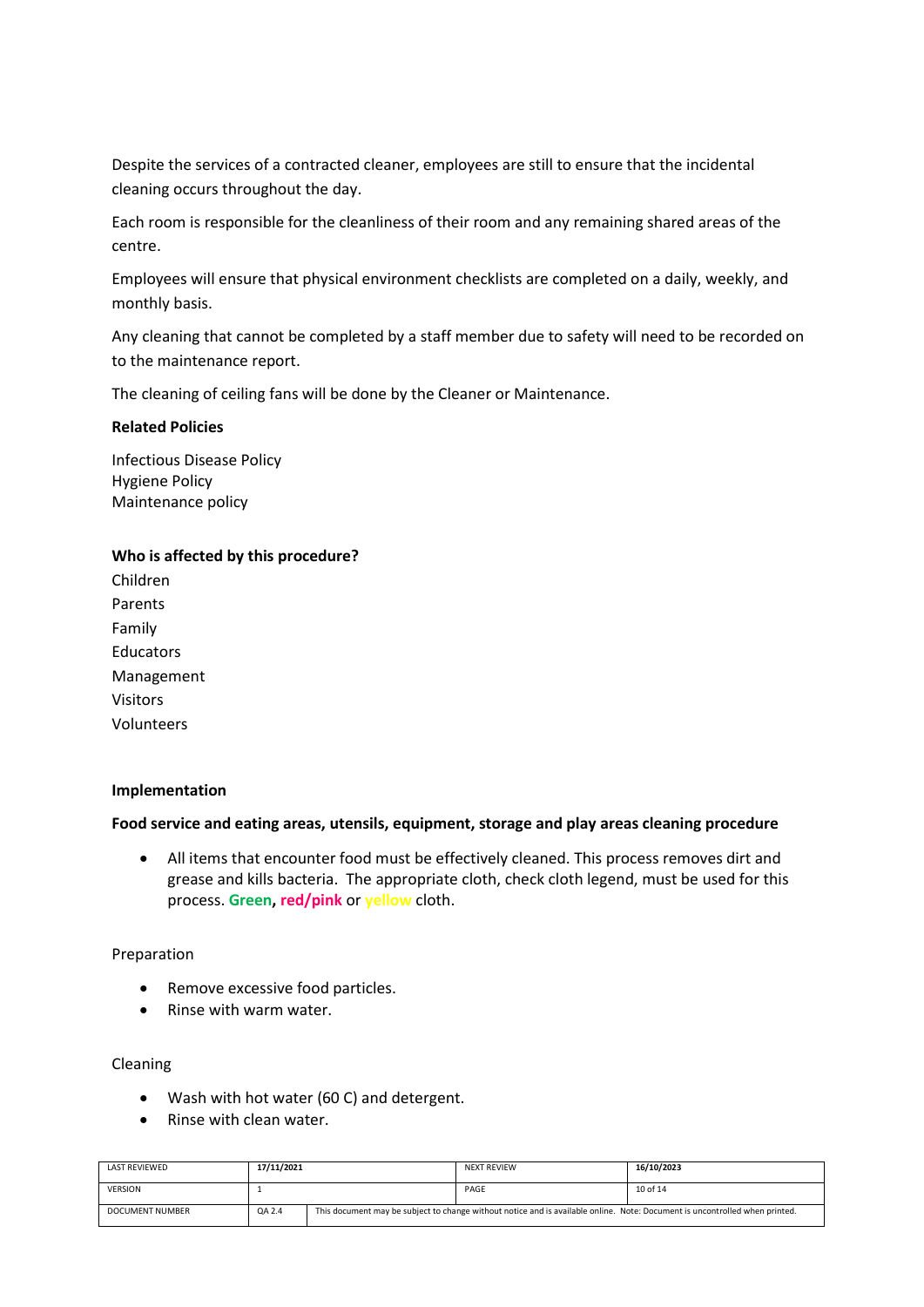Despite the services of a contracted cleaner, employees are still to ensure that the incidental cleaning occurs throughout the day.

Each room is responsible for the cleanliness of their room and any remaining shared areas of the centre.

Employees will ensure that physical environment checklists are completed on a daily, weekly, and monthly basis.

Any cleaning that cannot be completed by a staff member due to safety will need to be recorded on to the maintenance report.

The cleaning of ceiling fans will be done by the Cleaner or Maintenance.

#### **Related Policies**

Infectious Disease Policy Hygiene Policy Maintenance policy

#### **Who is affected by this procedure?**

| Children        |
|-----------------|
| Parents         |
| Family          |
| Educators       |
| Management      |
| <b>Visitors</b> |
| Volunteers      |

#### **Implementation**

#### **Food service and eating areas, utensils, equipment, storage and play areas cleaning procedure**

• All items that encounter food must be effectively cleaned. This process removes dirt and grease and kills bacteria. The appropriate cloth, check cloth legend, must be used for this process. **Green, red/pink** or **yellow** cloth.

#### Preparation

- Remove excessive food particles.
- Rinse with warm water.

#### Cleaning

- Wash with hot water (60 C) and detergent.
- Rinse with clean water.

| LAST REVIEWED   | 17/11/2021 |                                                                                                                             | <b>NEXT REVIEW</b> | 16/10/2023 |
|-----------------|------------|-----------------------------------------------------------------------------------------------------------------------------|--------------------|------------|
| <b>VERSION</b>  |            |                                                                                                                             | PAGE               | 10 of 14   |
| DOCUMENT NUMBER | QA 2.4     | This document may be subject to change without notice and is available online. Note: Document is uncontrolled when printed. |                    |            |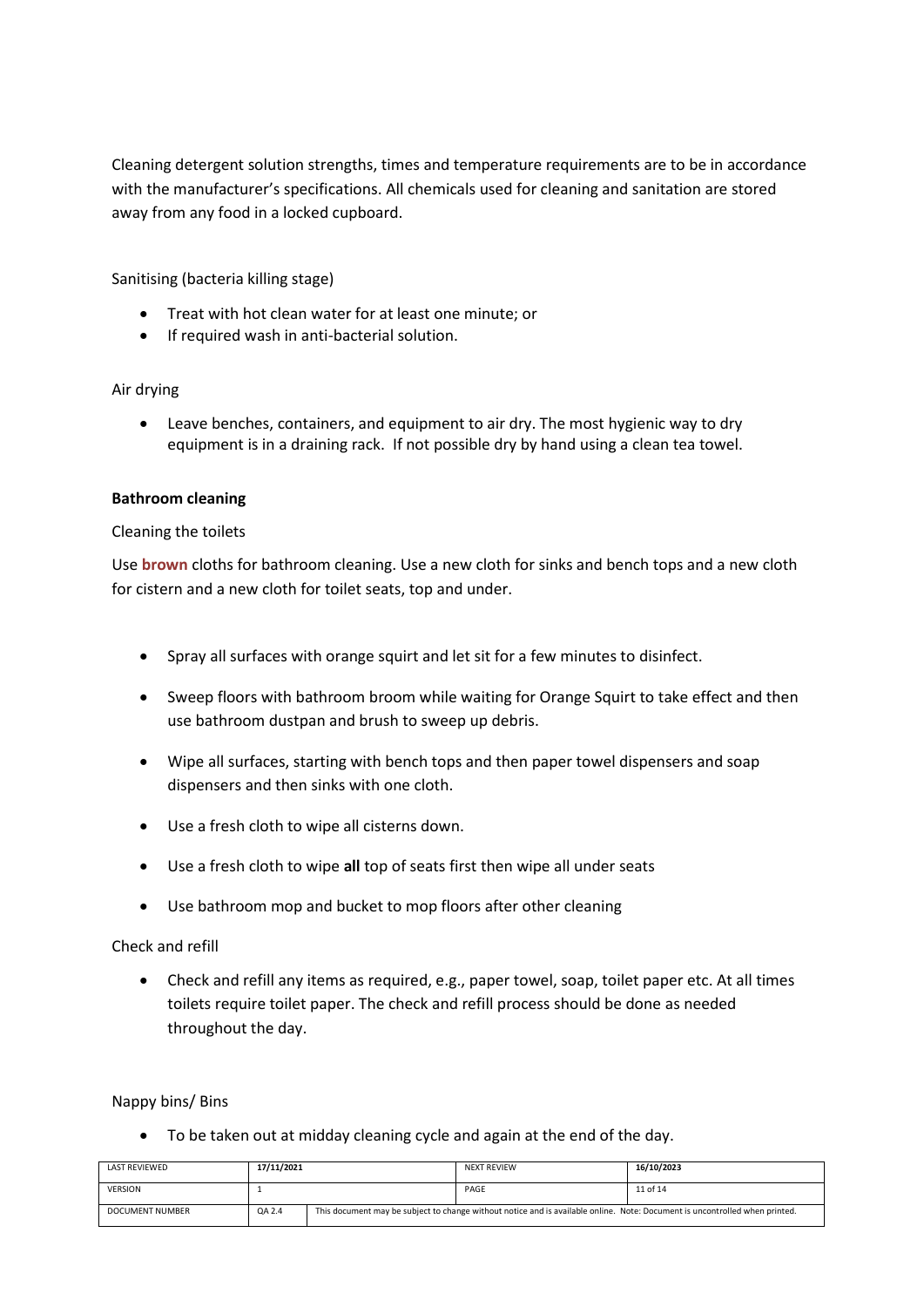Cleaning detergent solution strengths, times and temperature requirements are to be in accordance with the manufacturer's specifications. All chemicals used for cleaning and sanitation are stored away from any food in a locked cupboard.

Sanitising (bacteria killing stage)

- Treat with hot clean water for at least one minute; or
- If required wash in anti-bacterial solution.

## Air drying

• Leave benches, containers, and equipment to air dry. The most hygienic way to dry equipment is in a draining rack. If not possible dry by hand using a clean tea towel.

## **Bathroom cleaning**

## Cleaning the toilets

Use **brown** cloths for bathroom cleaning. Use a new cloth for sinks and bench tops and a new cloth for cistern and a new cloth for toilet seats, top and under.

- Spray all surfaces with orange squirt and let sit for a few minutes to disinfect.
- Sweep floors with bathroom broom while waiting for Orange Squirt to take effect and then use bathroom dustpan and brush to sweep up debris.
- Wipe all surfaces, starting with bench tops and then paper towel dispensers and soap dispensers and then sinks with one cloth.
- Use a fresh cloth to wipe all cisterns down.
- Use a fresh cloth to wipe **all** top of seats first then wipe all under seats
- Use bathroom mop and bucket to mop floors after other cleaning

## Check and refill

• Check and refill any items as required, e.g., paper towel, soap, toilet paper etc. At all times toilets require toilet paper. The check and refill process should be done as needed throughout the day.

## Nappy bins/ Bins

• To be taken out at midday cleaning cycle and again at the end of the day.

| LAST REVIEWED          | 17/11/2021 |                                                                                                                             | <b>NEXT REVIEW</b> | 16/10/2023 |
|------------------------|------------|-----------------------------------------------------------------------------------------------------------------------------|--------------------|------------|
| <b>VERSION</b>         |            |                                                                                                                             | PAGE               | 11 of 14   |
| <b>DOCUMENT NUMBER</b> | QA 2.4     | This document may be subject to change without notice and is available online. Note: Document is uncontrolled when printed. |                    |            |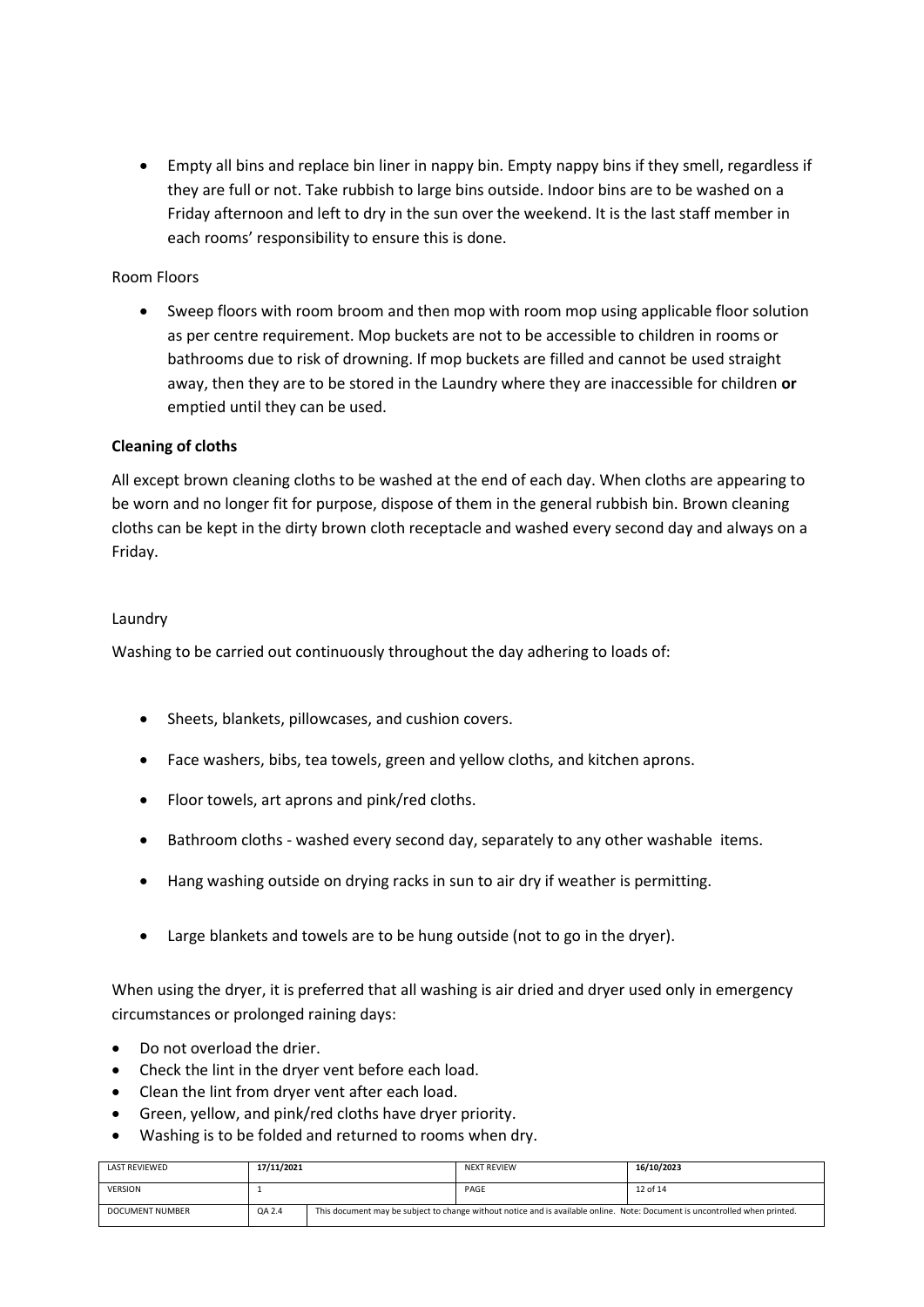• Empty all bins and replace bin liner in nappy bin. Empty nappy bins if they smell, regardless if they are full or not. Take rubbish to large bins outside. Indoor bins are to be washed on a Friday afternoon and left to dry in the sun over the weekend. It is the last staff member in each rooms' responsibility to ensure this is done.

# Room Floors

• Sweep floors with room broom and then mop with room mop using applicable floor solution as per centre requirement. Mop buckets are not to be accessible to children in rooms or bathrooms due to risk of drowning. If mop buckets are filled and cannot be used straight away, then they are to be stored in the Laundry where they are inaccessible for children **or** emptied until they can be used.

## **Cleaning of cloths**

All except brown cleaning cloths to be washed at the end of each day. When cloths are appearing to be worn and no longer fit for purpose, dispose of them in the general rubbish bin. Brown cleaning cloths can be kept in the dirty brown cloth receptacle and washed every second day and always on a Friday.

## Laundry

Washing to be carried out continuously throughout the day adhering to loads of:

- Sheets, blankets, pillowcases, and cushion covers.
- Face washers, bibs, tea towels, green and yellow cloths, and kitchen aprons.
- Floor towels, art aprons and pink/red cloths.
- Bathroom cloths washed every second day, separately to any other washable items.
- Hang washing outside on drying racks in sun to air dry if weather is permitting.
- Large blankets and towels are to be hung outside (not to go in the dryer).

When using the dryer, it is preferred that all washing is air dried and dryer used only in emergency circumstances or prolonged raining days:

- Do not overload the drier.
- Check the lint in the dryer vent before each load.
- Clean the lint from dryer vent after each load.
- Green, yellow, and pink/red cloths have dryer priority.
- Washing is to be folded and returned to rooms when dry.

| LAST REVIEWED   | 17/11/2021 |                                                                                                                             | <b>NEXT REVIEW</b> | 16/10/2023 |
|-----------------|------------|-----------------------------------------------------------------------------------------------------------------------------|--------------------|------------|
| <b>VERSION</b>  |            |                                                                                                                             | PAGE               | 12 of 14   |
| DOCUMENT NUMBER | QA 2.4     | This document may be subject to change without notice and is available online. Note: Document is uncontrolled when printed. |                    |            |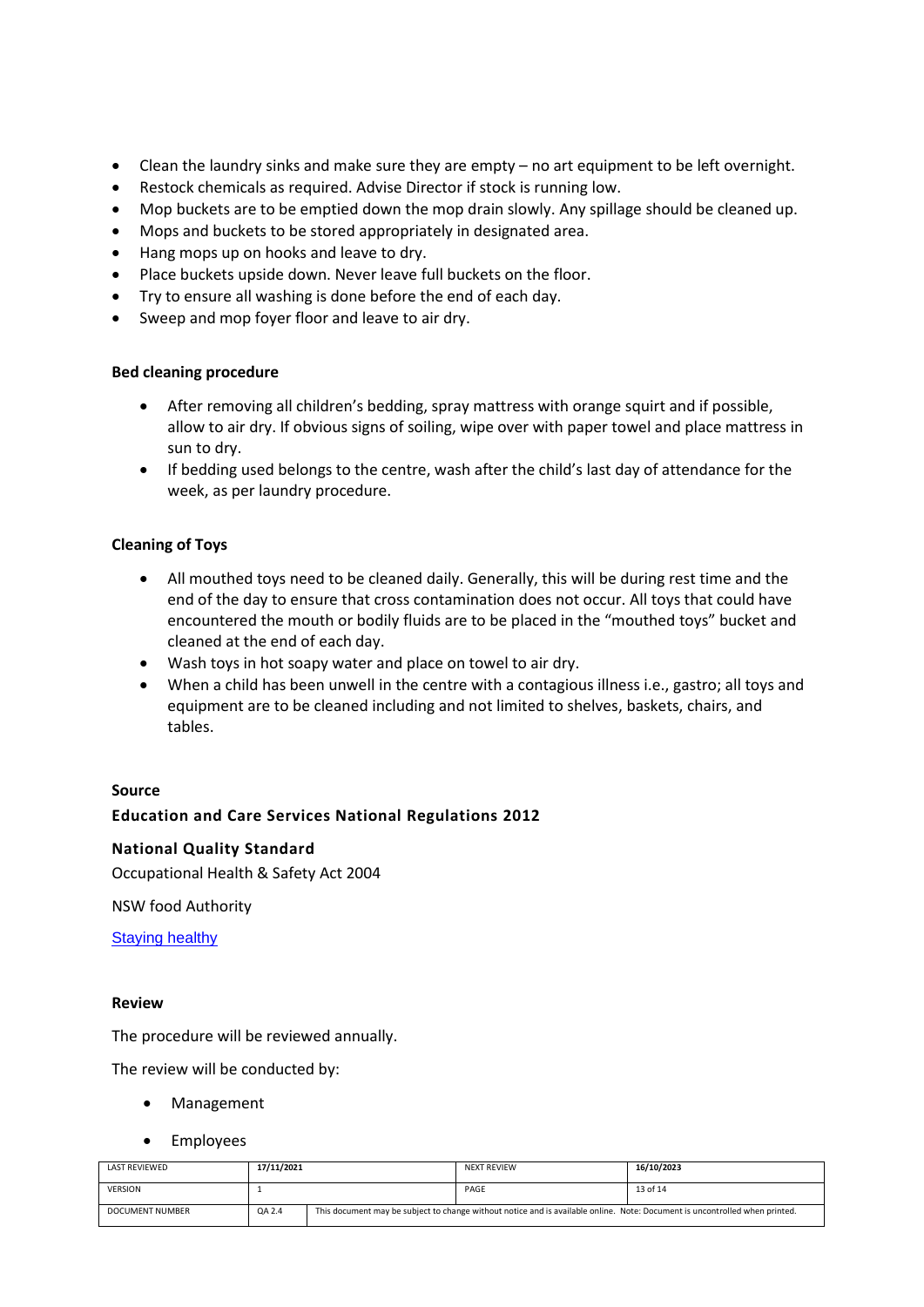- Clean the laundry sinks and make sure they are empty no art equipment to be left overnight.
- Restock chemicals as required. Advise Director if stock is running low.
- Mop buckets are to be emptied down the mop drain slowly. Any spillage should be cleaned up.
- Mops and buckets to be stored appropriately in designated area.
- Hang mops up on hooks and leave to dry.
- Place buckets upside down. Never leave full buckets on the floor.
- Try to ensure all washing is done before the end of each day.
- Sweep and mop foyer floor and leave to air dry.

## **Bed cleaning procedure**

- After removing all children's bedding, spray mattress with orange squirt and if possible, allow to air dry. If obvious signs of soiling, wipe over with paper towel and place mattress in sun to dry.
- If bedding used belongs to the centre, wash after the child's last day of attendance for the week, as per laundry procedure.

## **Cleaning of Toys**

- All mouthed toys need to be cleaned daily. Generally, this will be during rest time and the end of the day to ensure that cross contamination does not occur. All toys that could have encountered the mouth or bodily fluids are to be placed in the "mouthed toys" bucket and cleaned at the end of each day.
- Wash toys in hot soapy water and place on towel to air dry.
- When a child has been unwell in the centre with a contagious illness i.e., gastro; all toys and equipment are to be cleaned including and not limited to shelves, baskets, chairs, and tables.

#### **Source**

## **Education and Care Services National Regulations 2012**

#### **National Quality Standard**

Occupational Health & Safety Act 2004

NSW food Authority

**[Staying healthy](https://www.nhmrc.gov.au/sites/default/files/documents/attachments/ch55-staying-healthy.pdf)** 

#### **Review**

The procedure will be reviewed annually.

The review will be conducted by:

- Management
- **Employees**

| LAST REVIEWED          | 17/11/2021 |                                                                                                                             | <b>NEXT REVIEW</b> | 16/10/2023 |
|------------------------|------------|-----------------------------------------------------------------------------------------------------------------------------|--------------------|------------|
| <b>VERSION</b>         |            |                                                                                                                             | PAGE               | 13 of 14   |
| <b>DOCUMENT NUMBER</b> | QA 2.4     | This document may be subject to change without notice and is available online. Note: Document is uncontrolled when printed. |                    |            |